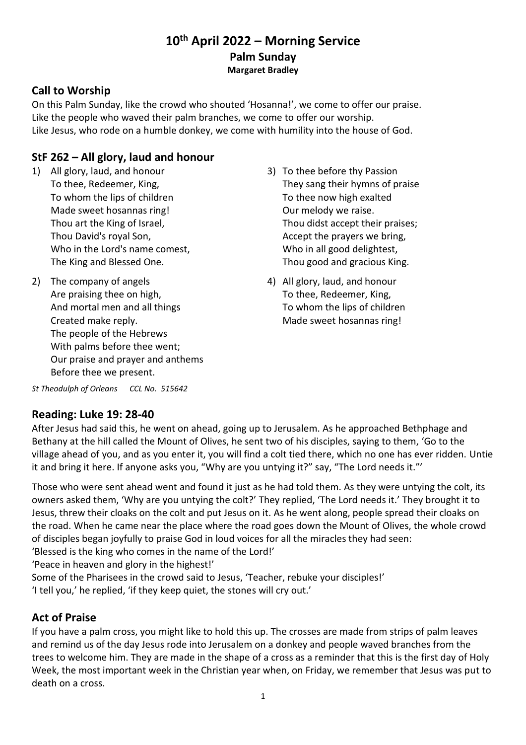# **10th April 2022 – Morning Service Palm Sunday Margaret Bradley**

### **Call to Worship**

On this Palm Sunday, like the crowd who shouted 'Hosanna!', we come to offer our praise. Like the people who waved their palm branches, we come to offer our worship. Like Jesus, who rode on a humble donkey, we come with humility into the house of God.

# **StF 262 – All glory, laud and honour**

- 1) All glory, laud, and honour To thee, Redeemer, King, To whom the lips of children Made sweet hosannas ring! Thou art the King of Israel, Thou David's royal Son, Who in the Lord's name comest, The King and Blessed One.
- 2) The company of angels Are praising thee on high, And mortal men and all things Created make reply. The people of the Hebrews With palms before thee went; Our praise and prayer and anthems Before thee we present.
- 3) To thee before thy Passion They sang their hymns of praise To thee now high exalted Our melody we raise. Thou didst accept their praises; Accept the prayers we bring, Who in all good delightest, Thou good and gracious King.
- 4) All glory, laud, and honour To thee, Redeemer, King, To whom the lips of children Made sweet hosannas ring!

*St Theodulph of Orleans CCL No. 515642*

### **Reading: Luke 19: 28-40**

After Jesus had said this, he went on ahead, going up to Jerusalem. As he approached Bethphage and Bethany at the hill called the Mount of Olives, he sent two of his disciples, saying to them, 'Go to the village ahead of you, and as you enter it, you will find a colt tied there, which no one has ever ridden. Untie it and bring it here. If anyone asks you, "Why are you untying it?" say, "The Lord needs it."'

Those who were sent ahead went and found it just as he had told them. As they were untying the colt, its owners asked them, 'Why are you untying the colt?' They replied, 'The Lord needs it.' They brought it to Jesus, threw their cloaks on the colt and put Jesus on it. As he went along, people spread their cloaks on the road. When he came near the place where the road goes down the Mount of Olives, the whole crowd of disciples began joyfully to praise God in loud voices for all the miracles they had seen:

'Blessed is the king who comes in the name of the Lord!'

'Peace in heaven and glory in the highest!'

Some of the Pharisees in the crowd said to Jesus, 'Teacher, rebuke your disciples!' 'I tell you,' he replied, 'if they keep quiet, the stones will cry out.'

### **Act of Praise**

If you have a palm cross, you might like to hold this up. The crosses are made from strips of palm leaves and remind us of the day Jesus rode into Jerusalem on a donkey and people waved branches from the trees to welcome him. They are made in the shape of a cross as a reminder that this is the first day of Holy Week, the most important week in the Christian year when, on Friday, we remember that Jesus was put to death on a cross.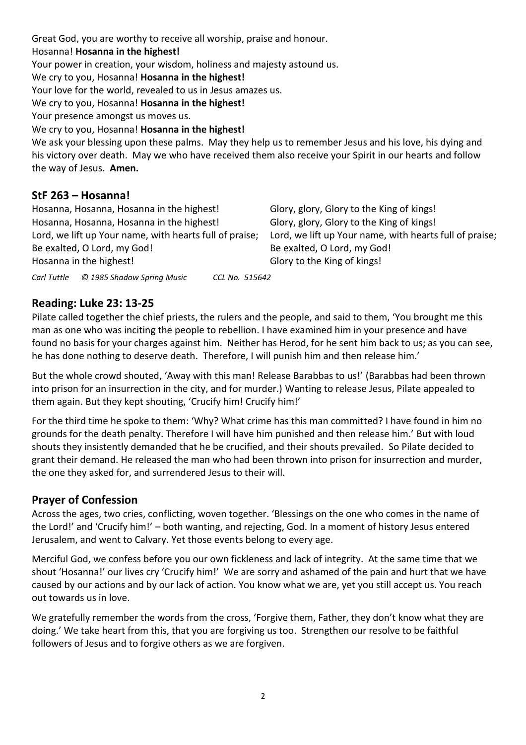Great God, you are worthy to receive all worship, praise and honour. Hosanna! **Hosanna in the highest!** Your power in creation, your wisdom, holiness and majesty astound us. We cry to you, Hosanna! **Hosanna in the highest!** Your love for the world, revealed to us in Jesus amazes us. We cry to you, Hosanna! **Hosanna in the highest!** Your presence amongst us moves us. We cry to you, Hosanna! **Hosanna in the highest!** We ask your blessing upon these palms. May they help us to remember Jesus and his love, his dying and his victory over death. May we who have received them also receive your Spirit in our hearts and follow the way of Jesus. **Amen.**

### **StF 263 – Hosanna!**

Hosanna, Hosanna, Hosanna in the highest! Hosanna, Hosanna, Hosanna in the highest! Lord, we lift up Your name, with hearts full of praise; Be exalted, O Lord, my God! Hosanna in the highest!

Glory, glory, Glory to the King of kings! Glory, glory, Glory to the King of kings! Lord, we lift up Your name, with hearts full of praise; Be exalted, O Lord, my God! Glory to the King of kings!

*Carl Tuttle © 1985 Shadow Spring Music CCL No. 515642*

#### **Reading: Luke 23: 13-25**

Pilate called together the chief priests, the rulers and the people, and said to them, 'You brought me this man as one who was inciting the people to rebellion. I have examined him in your presence and have found no basis for your charges against him. Neither has Herod, for he sent him back to us; as you can see, he has done nothing to deserve death. Therefore, I will punish him and then release him.'

But the whole crowd shouted, 'Away with this man! Release Barabbas to us!' (Barabbas had been thrown into prison for an insurrection in the city, and for murder.) Wanting to release Jesus, Pilate appealed to them again. But they kept shouting, 'Crucify him! Crucify him!'

For the third time he spoke to them: 'Why? What crime has this man committed? I have found in him no grounds for the death penalty. Therefore I will have him punished and then release him.' But with loud shouts they insistently demanded that he be crucified, and their shouts prevailed. So Pilate decided to grant their demand. He released the man who had been thrown into prison for insurrection and murder, the one they asked for, and surrendered Jesus to their will.

#### **Prayer of Confession**

Across the ages, two cries, conflicting, woven together. 'Blessings on the one who comes in the name of the Lord!' and 'Crucify him!' – both wanting, and rejecting, God. In a moment of history Jesus entered Jerusalem, and went to Calvary. Yet those events belong to every age.

Merciful God, we confess before you our own fickleness and lack of integrity. At the same time that we shout 'Hosanna!' our lives cry 'Crucify him!' We are sorry and ashamed of the pain and hurt that we have caused by our actions and by our lack of action. You know what we are, yet you still accept us. You reach out towards us in love.

We gratefully remember the words from the cross, 'Forgive them, Father, they don't know what they are doing.' We take heart from this, that you are forgiving us too. Strengthen our resolve to be faithful followers of Jesus and to forgive others as we are forgiven.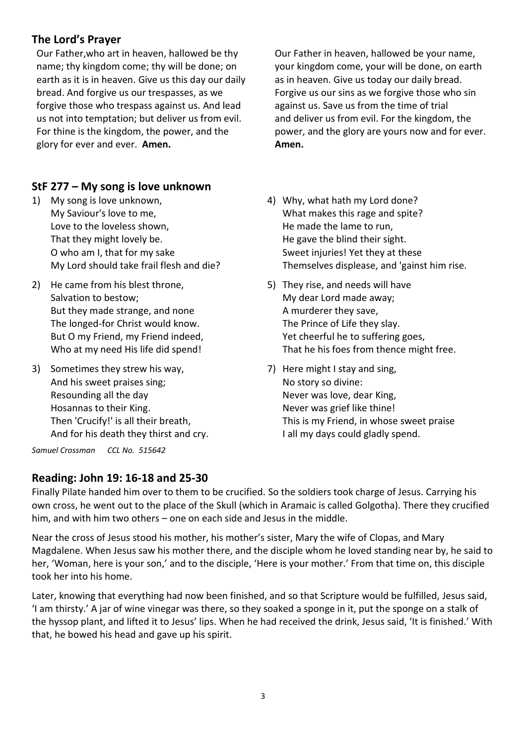# **The Lord's Prayer**

Our Father,who art in heaven, hallowed be thy name; thy kingdom come; thy will be done; on earth as it is in heaven. Give us this day our daily bread. And forgive us our trespasses, as we forgive those who trespass against us. And lead us not into temptation; but deliver us from evil. For thine is the kingdom, the power, and the glory for ever and ever. **Amen.**

# **StF 277 – My song is love unknown**

- 1) My song is love unknown, My Saviour's love to me, Love to the loveless shown, That they might lovely be. O who am I, that for my sake My Lord should take frail flesh and die?
- 2) He came from his blest throne, Salvation to bestow; But they made strange, and none The longed-for Christ would know. But O my Friend, my Friend indeed, Who at my need His life did spend!
- 3) Sometimes they strew his way, And his sweet praises sing; Resounding all the day Hosannas to their King. Then 'Crucify!' is all their breath, And for his death they thirst and cry.

Our Father in heaven, hallowed be your name, your kingdom come, your will be done, on earth as in heaven. Give us today our daily bread. Forgive us our sins as we forgive those who sin against us. Save us from the time of trial and deliver us from evil. For the kingdom, the power, and the glory are yours now and for ever. **Amen.**

- 4) Why, what hath my Lord done? What makes this rage and spite? He made the lame to run, He gave the blind their sight. Sweet injuries! Yet they at these Themselves displease, and 'gainst him rise.
- 5) They rise, and needs will have My dear Lord made away; A murderer they save, The Prince of Life they slay. Yet cheerful he to suffering goes, That he his foes from thence might free.
- 7) Here might I stay and sing, No story so divine: Never was love, dear King, Never was grief like thine! This is my Friend, in whose sweet praise I all my days could gladly spend.

*Samuel Crossman CCL No. 515642*

# **Reading: John 19: 16-18 and 25-30**

Finally Pilate handed him over to them to be crucified. So the soldiers took charge of Jesus. Carrying his own cross, he went out to the place of the Skull (which in Aramaic is called Golgotha). There they crucified him, and with him two others – one on each side and Jesus in the middle.

Near the cross of Jesus stood his mother, his mother's sister, Mary the wife of Clopas, and Mary Magdalene. When Jesus saw his mother there, and the disciple whom he loved standing near by, he said to her, 'Woman, here is your son,' and to the disciple, 'Here is your mother.' From that time on, this disciple took her into his home.

Later, knowing that everything had now been finished, and so that Scripture would be fulfilled, Jesus said, 'I am thirsty.' A jar of wine vinegar was there, so they soaked a sponge in it, put the sponge on a stalk of the hyssop plant, and lifted it to Jesus' lips. When he had received the drink, Jesus said, 'It is finished.' With that, he bowed his head and gave up his spirit.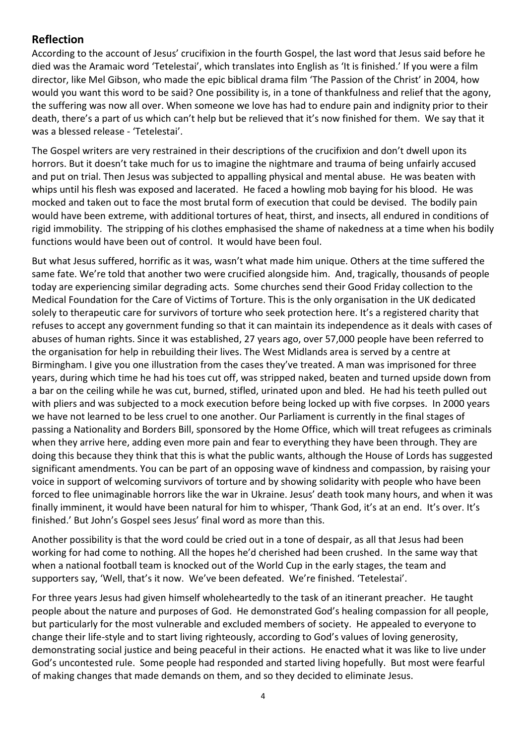### **Reflection**

According to the account of Jesus' crucifixion in the fourth Gospel, the last word that Jesus said before he died was the Aramaic word 'Tetelestai', which translates into English as 'It is finished.' If you were a film director, like Mel Gibson, who made the epic biblical drama film 'The Passion of the Christ' in 2004, how would you want this word to be said? One possibility is, in a tone of thankfulness and relief that the agony, the suffering was now all over. When someone we love has had to endure pain and indignity prior to their death, there's a part of us which can't help but be relieved that it's now finished for them. We say that it was a blessed release - 'Tetelestai'.

The Gospel writers are very restrained in their descriptions of the crucifixion and don't dwell upon its horrors. But it doesn't take much for us to imagine the nightmare and trauma of being unfairly accused and put on trial. Then Jesus was subjected to appalling physical and mental abuse. He was beaten with whips until his flesh was exposed and lacerated. He faced a howling mob baying for his blood. He was mocked and taken out to face the most brutal form of execution that could be devised. The bodily pain would have been extreme, with additional tortures of heat, thirst, and insects, all endured in conditions of rigid immobility. The stripping of his clothes emphasised the shame of nakedness at a time when his bodily functions would have been out of control. It would have been foul.

But what Jesus suffered, horrific as it was, wasn't what made him unique. Others at the time suffered the same fate. We're told that another two were crucified alongside him. And, tragically, thousands of people today are experiencing similar degrading acts. Some churches send their Good Friday collection to the Medical Foundation for the Care of Victims of Torture. This is the only organisation in the UK dedicated solely to therapeutic care for survivors of torture who seek protection here. It's a registered charity that refuses to accept any government funding so that it can maintain its independence as it deals with cases of abuses of human rights. Since it was established, 27 years ago, over 57,000 people have been referred to the organisation for help in rebuilding their lives. The West Midlands area is served by a centre at Birmingham. I give you one illustration from the cases they've treated. A man was imprisoned for three years, during which time he had his toes cut off, was stripped naked, beaten and turned upside down from a bar on the ceiling while he was cut, burned, stifled, urinated upon and bled. He had his teeth pulled out with pliers and was subjected to a mock execution before being locked up with five corpses. In 2000 years we have not learned to be less cruel to one another. Our Parliament is currently in the final stages of passing a Nationality and Borders Bill, sponsored by the Home Office, which will treat refugees as criminals when they arrive here, adding even more pain and fear to everything they have been through. They are doing this because they think that this is what the public wants, although the House of Lords has suggested significant amendments. You can be part of an opposing wave of kindness and compassion, by raising your voice in support of welcoming survivors of torture and by showing solidarity with people who have been forced to flee unimaginable horrors like the war in Ukraine. Jesus' death took many hours, and when it was finally imminent, it would have been natural for him to whisper, 'Thank God, it's at an end. It's over. It's finished.' But John's Gospel sees Jesus' final word as more than this.

Another possibility is that the word could be cried out in a tone of despair, as all that Jesus had been working for had come to nothing. All the hopes he'd cherished had been crushed. In the same way that when a national football team is knocked out of the World Cup in the early stages, the team and supporters say, 'Well, that's it now. We've been defeated. We're finished. 'Tetelestai'.

For three years Jesus had given himself wholeheartedly to the task of an itinerant preacher. He taught people about the nature and purposes of God. He demonstrated God's healing compassion for all people, but particularly for the most vulnerable and excluded members of society. He appealed to everyone to change their life-style and to start living righteously, according to God's values of loving generosity, demonstrating social justice and being peaceful in their actions. He enacted what it was like to live under God's uncontested rule. Some people had responded and started living hopefully. But most were fearful of making changes that made demands on them, and so they decided to eliminate Jesus.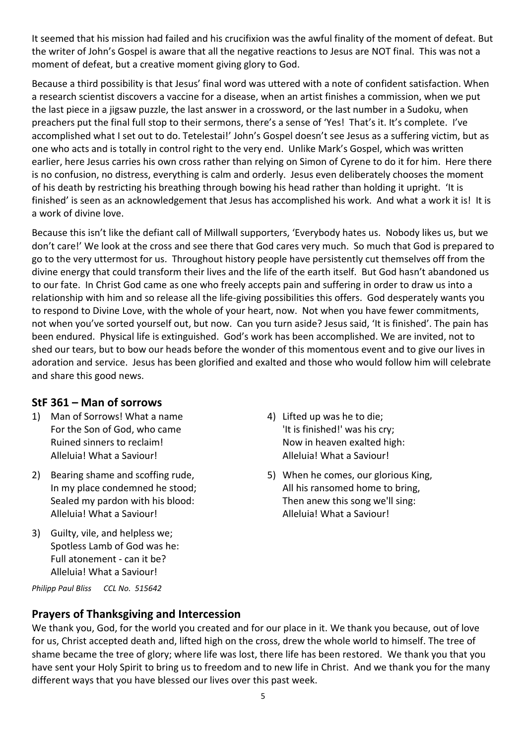It seemed that his mission had failed and his crucifixion was the awful finality of the moment of defeat. But the writer of John's Gospel is aware that all the negative reactions to Jesus are NOT final. This was not a moment of defeat, but a creative moment giving glory to God.

Because a third possibility is that Jesus' final word was uttered with a note of confident satisfaction. When a research scientist discovers a vaccine for a disease, when an artist finishes a commission, when we put the last piece in a jigsaw puzzle, the last answer in a crossword, or the last number in a Sudoku, when preachers put the final full stop to their sermons, there's a sense of 'Yes! That's it. It's complete. I've accomplished what I set out to do. Tetelestai!' John's Gospel doesn't see Jesus as a suffering victim, but as one who acts and is totally in control right to the very end. Unlike Mark's Gospel, which was written earlier, here Jesus carries his own cross rather than relying on Simon of Cyrene to do it for him. Here there is no confusion, no distress, everything is calm and orderly. Jesus even deliberately chooses the moment of his death by restricting his breathing through bowing his head rather than holding it upright. 'It is finished' is seen as an acknowledgement that Jesus has accomplished his work. And what a work it is! It is a work of divine love.

Because this isn't like the defiant call of Millwall supporters, 'Everybody hates us. Nobody likes us, but we don't care!' We look at the cross and see there that God cares very much. So much that God is prepared to go to the very uttermost for us. Throughout history people have persistently cut themselves off from the divine energy that could transform their lives and the life of the earth itself. But God hasn't abandoned us to our fate. In Christ God came as one who freely accepts pain and suffering in order to draw us into a relationship with him and so release all the life-giving possibilities this offers. God desperately wants you to respond to Divine Love, with the whole of your heart, now. Not when you have fewer commitments, not when you've sorted yourself out, but now. Can you turn aside? Jesus said, 'It is finished'. The pain has been endured. Physical life is extinguished. God's work has been accomplished. We are invited, not to shed our tears, but to bow our heads before the wonder of this momentous event and to give our lives in adoration and service. Jesus has been glorified and exalted and those who would follow him will celebrate and share this good news.

#### **StF 361 – Man of sorrows**

- 1) Man of Sorrows! What a name For the Son of God, who came Ruined sinners to reclaim! Alleluia! What a Saviour!
- 2) Bearing shame and scoffing rude, In my place condemned he stood; Sealed my pardon with his blood: Alleluia! What a Saviour!
- 3) Guilty, vile, and helpless we; Spotless Lamb of God was he: Full atonement - can it be? Alleluia! What a Saviour!

*Philipp Paul Bliss CCL No. 515642*

- 4) Lifted up was he to die; 'It is finished!' was his cry; Now in heaven exalted high: Alleluia! What a Saviour!
- 5) When he comes, our glorious King, All his ransomed home to bring, Then anew this song we'll sing: Alleluia! What a Saviour!

# **Prayers of Thanksgiving and Intercession**

We thank you, God, for the world you created and for our place in it. We thank you because, out of love for us, Christ accepted death and, lifted high on the cross, drew the whole world to himself. The tree of shame became the tree of glory; where life was lost, there life has been restored. We thank you that you have sent your Holy Spirit to bring us to freedom and to new life in Christ. And we thank you for the many different ways that you have blessed our lives over this past week.